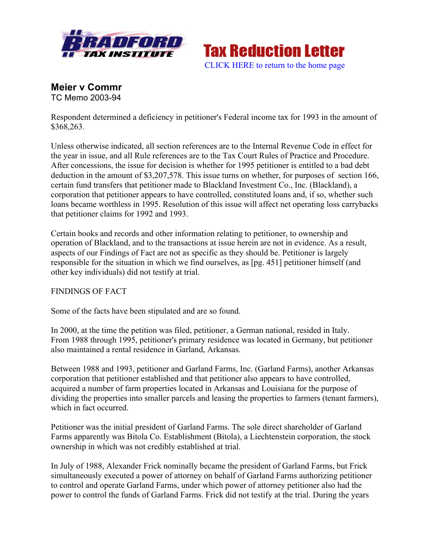

**Tax Reduction Letter** [CLICK HERE to return to the home page](www.bradfordtaxinstitute.com)

**Meier v Commr** TC Memo 2003-94

Respondent determined a deficiency in petitioner's Federal income tax for 1993 in the amount of \$368,263.

Unless otherwise indicated, all section references are to the Internal Revenue Code in effect for the year in issue, and all Rule references are to the Tax Court Rules of Practice and Procedure. After concessions, the issue for decision is whether for 1995 petitioner is entitled to a bad debt deduction in the amount of \$3,207,578. This issue turns on whether, for purposes of section 166, certain fund transfers that petitioner made to Blackland Investment Co., Inc. (Blackland), a corporation that petitioner appears to have controlled, constituted loans and, if so, whether such loans became worthless in 1995. Resolution of this issue will affect net operating loss carrybacks that petitioner claims for 1992 and 1993.

Certain books and records and other information relating to petitioner, to ownership and operation of Blackland, and to the transactions at issue herein are not in evidence. As a result, aspects of our Findings of Fact are not as specific as they should be. Petitioner is largely responsible for the situation in which we find ourselves, as [pg. 451] petitioner himself (and other key individuals) did not testify at trial.

## FINDINGS OF FACT

Some of the facts have been stipulated and are so found.

In 2000, at the time the petition was filed, petitioner, a German national, resided in Italy. From 1988 through 1995, petitioner's primary residence was located in Germany, but petitioner also maintained a rental residence in Garland, Arkansas.

Between 1988 and 1993, petitioner and Garland Farms, Inc. (Garland Farms), another Arkansas corporation that petitioner established and that petitioner also appears to have controlled, acquired a number of farm properties located in Arkansas and Louisiana for the purpose of dividing the properties into smaller parcels and leasing the properties to farmers (tenant farmers), which in fact occurred.

Petitioner was the initial president of Garland Farms. The sole direct shareholder of Garland Farms apparently was Bitola Co. Establishment (Bitola), a Liechtenstein corporation, the stock ownership in which was not credibly established at trial.

In July of 1988, Alexander Frick nominally became the president of Garland Farms, but Frick simultaneously executed a power of attorney on behalf of Garland Farms authorizing petitioner to control and operate Garland Farms, under which power of attorney petitioner also had the power to control the funds of Garland Farms. Frick did not testify at the trial. During the years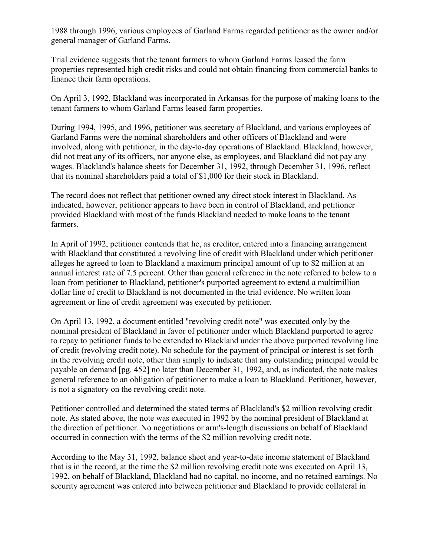1988 through 1996, various employees of Garland Farms regarded petitioner as the owner and/or general manager of Garland Farms.

Trial evidence suggests that the tenant farmers to whom Garland Farms leased the farm properties represented high credit risks and could not obtain financing from commercial banks to finance their farm operations.

On April 3, 1992, Blackland was incorporated in Arkansas for the purpose of making loans to the tenant farmers to whom Garland Farms leased farm properties.

During 1994, 1995, and 1996, petitioner was secretary of Blackland, and various employees of Garland Farms were the nominal shareholders and other officers of Blackland and were involved, along with petitioner, in the day-to-day operations of Blackland. Blackland, however, did not treat any of its officers, nor anyone else, as employees, and Blackland did not pay any wages. Blackland's balance sheets for December 31, 1992, through December 31, 1996, reflect that its nominal shareholders paid a total of \$1,000 for their stock in Blackland.

The record does not reflect that petitioner owned any direct stock interest in Blackland. As indicated, however, petitioner appears to have been in control of Blackland, and petitioner provided Blackland with most of the funds Blackland needed to make loans to the tenant farmers.

In April of 1992, petitioner contends that he, as creditor, entered into a financing arrangement with Blackland that constituted a revolving line of credit with Blackland under which petitioner alleges he agreed to loan to Blackland a maximum principal amount of up to \$2 million at an annual interest rate of 7.5 percent. Other than general reference in the note referred to below to a loan from petitioner to Blackland, petitioner's purported agreement to extend a multimillion dollar line of credit to Blackland is not documented in the trial evidence. No written loan agreement or line of credit agreement was executed by petitioner.

On April 13, 1992, a document entitled "revolving credit note" was executed only by the nominal president of Blackland in favor of petitioner under which Blackland purported to agree to repay to petitioner funds to be extended to Blackland under the above purported revolving line of credit (revolving credit note). No schedule for the payment of principal or interest is set forth in the revolving credit note, other than simply to indicate that any outstanding principal would be payable on demand [pg. 452] no later than December 31, 1992, and, as indicated, the note makes general reference to an obligation of petitioner to make a loan to Blackland. Petitioner, however, is not a signatory on the revolving credit note.

Petitioner controlled and determined the stated terms of Blackland's \$2 million revolving credit note. As stated above, the note was executed in 1992 by the nominal president of Blackland at the direction of petitioner. No negotiations or arm's-length discussions on behalf of Blackland occurred in connection with the terms of the \$2 million revolving credit note.

According to the May 31, 1992, balance sheet and year-to-date income statement of Blackland that is in the record, at the time the \$2 million revolving credit note was executed on April 13, 1992, on behalf of Blackland, Blackland had no capital, no income, and no retained earnings. No security agreement was entered into between petitioner and Blackland to provide collateral in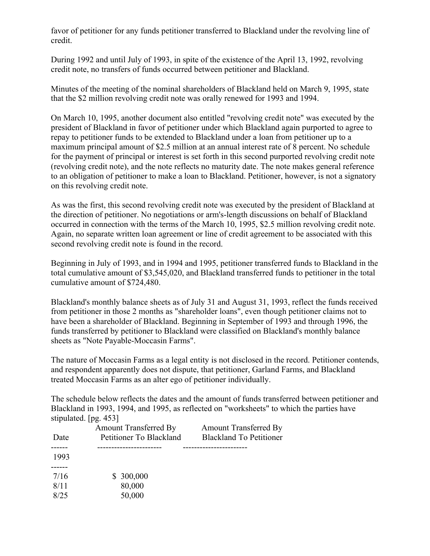favor of petitioner for any funds petitioner transferred to Blackland under the revolving line of credit.

During 1992 and until July of 1993, in spite of the existence of the April 13, 1992, revolving credit note, no transfers of funds occurred between petitioner and Blackland.

Minutes of the meeting of the nominal shareholders of Blackland held on March 9, 1995, state that the \$2 million revolving credit note was orally renewed for 1993 and 1994.

On March 10, 1995, another document also entitled "revolving credit note" was executed by the president of Blackland in favor of petitioner under which Blackland again purported to agree to repay to petitioner funds to be extended to Blackland under a loan from petitioner up to a maximum principal amount of \$2.5 million at an annual interest rate of 8 percent. No schedule for the payment of principal or interest is set forth in this second purported revolving credit note (revolving credit note), and the note reflects no maturity date. The note makes general reference to an obligation of petitioner to make a loan to Blackland. Petitioner, however, is not a signatory on this revolving credit note.

As was the first, this second revolving credit note was executed by the president of Blackland at the direction of petitioner. No negotiations or arm's-length discussions on behalf of Blackland occurred in connection with the terms of the March 10, 1995, \$2.5 million revolving credit note. Again, no separate written loan agreement or line of credit agreement to be associated with this second revolving credit note is found in the record.

Beginning in July of 1993, and in 1994 and 1995, petitioner transferred funds to Blackland in the total cumulative amount of \$3,545,020, and Blackland transferred funds to petitioner in the total cumulative amount of \$724,480.

Blackland's monthly balance sheets as of July 31 and August 31, 1993, reflect the funds received from petitioner in those 2 months as "shareholder loans", even though petitioner claims not to have been a shareholder of Blackland. Beginning in September of 1993 and through 1996, the funds transferred by petitioner to Blackland were classified on Blackland's monthly balance sheets as "Note Payable-Moccasin Farms".

The nature of Moccasin Farms as a legal entity is not disclosed in the record. Petitioner contends, and respondent apparently does not dispute, that petitioner, Garland Farms, and Blackland treated Moccasin Farms as an alter ego of petitioner individually.

The schedule below reflects the dates and the amount of funds transferred between petitioner and Blackland in 1993, 1994, and 1995, as reflected on "worksheets" to which the parties have stipulated. [pg. 453]

|      | <b>Amount Transferred By</b> | <b>Amount Transferred By</b>   |
|------|------------------------------|--------------------------------|
| Date | Petitioner To Blackland      | <b>Blackland To Petitioner</b> |
|      |                              |                                |
| 1993 |                              |                                |
|      |                              |                                |
| 7/16 | \$300,000                    |                                |
| 8/11 | 80,000                       |                                |
| 8/25 | 50,000                       |                                |
|      |                              |                                |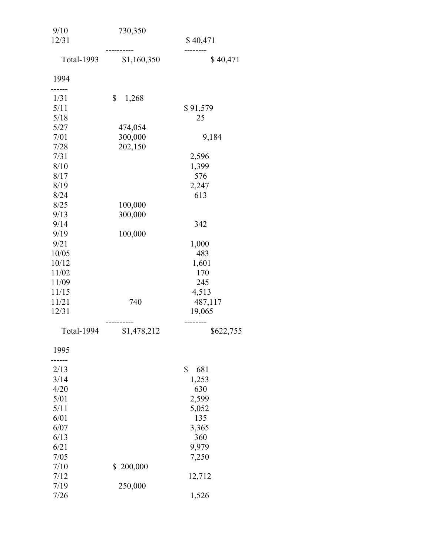| 9/10              | 730,350       |                    |
|-------------------|---------------|--------------------|
| 12/31             |               | \$40,471<br>------ |
| <b>Total-1993</b> | \$1,160,350   | \$40,471           |
| 1994              |               |                    |
| 1/31              | \$<br>1,268   |                    |
| 5/11              |               | \$91,579           |
| 5/18              |               | 25                 |
| 5/27              | 474,054       |                    |
| 7/01              | 300,000       | 9,184              |
| 7/28              | 202,150       |                    |
| 7/31<br>8/10      |               | 2,596              |
| 8/17              |               | 1,399<br>576       |
| 8/19              |               | 2,247              |
| 8/24              |               | 613                |
| 8/25              | 100,000       |                    |
| 9/13              | 300,000       |                    |
| 9/14              |               | 342                |
| 9/19              | 100,000       |                    |
| 9/21              |               | 1,000              |
| 10/05             |               | 483                |
| 10/12             |               | 1,601              |
| 11/02             |               | 170                |
| 11/09             |               | 245                |
| 11/15             |               | 4,513              |
| 11/21             | 740           | 487,117            |
| 12/31             |               | 19,065             |
| <b>Total-1994</b> | \$1,478,212   | \$622,755          |
| 1995              |               |                    |
| 2/13              |               | \$<br>681          |
| 3/14              |               | 1,253              |
| 4/20              |               | 630                |
| 5/01              |               | 2,599              |
| 5/11              |               | 5,052              |
| 6/01              |               | 135                |
| 6/07              |               | 3,365              |
| 6/13              |               | 360                |
| 6/21<br>7/05      |               | 9,979              |
| 7/10              | 200,000<br>\$ | 7,250              |
| 7/12              |               | 12,712             |
| 7/19              | 250,000       |                    |
| 7/26              |               | 1,526              |
|                   |               |                    |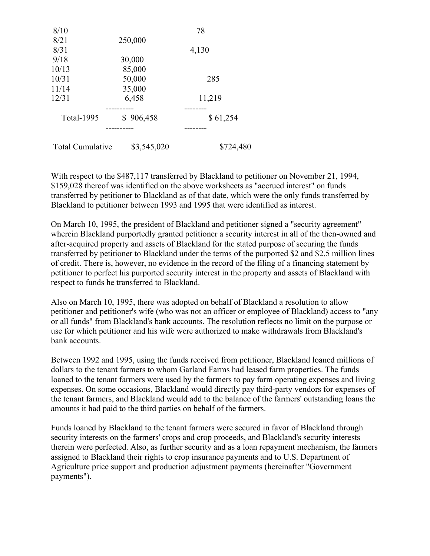| 8/10                    |             | 78        |
|-------------------------|-------------|-----------|
| 8/21                    | 250,000     |           |
| 8/31                    |             | 4,130     |
| 9/18                    | 30,000      |           |
| 10/13                   | 85,000      |           |
| 10/31                   | 50,000      | 285       |
| 11/14                   | 35,000      |           |
| 12/31                   | 6,458       | 11,219    |
|                         |             |           |
| Total-1995              | \$906,458   | \$61,254  |
|                         |             |           |
| <b>Total Cumulative</b> | \$3,545,020 | \$724,480 |

With respect to the \$487,117 transferred by Blackland to petitioner on November 21, 1994, \$159,028 thereof was identified on the above worksheets as "accrued interest" on funds transferred by petitioner to Blackland as of that date, which were the only funds transferred by Blackland to petitioner between 1993 and 1995 that were identified as interest.

On March 10, 1995, the president of Blackland and petitioner signed a "security agreement" wherein Blackland purportedly granted petitioner a security interest in all of the then-owned and after-acquired property and assets of Blackland for the stated purpose of securing the funds transferred by petitioner to Blackland under the terms of the purported \$2 and \$2.5 million lines of credit. There is, however, no evidence in the record of the filing of a financing statement by petitioner to perfect his purported security interest in the property and assets of Blackland with respect to funds he transferred to Blackland.

Also on March 10, 1995, there was adopted on behalf of Blackland a resolution to allow petitioner and petitioner's wife (who was not an officer or employee of Blackland) access to "any or all funds" from Blackland's bank accounts. The resolution reflects no limit on the purpose or use for which petitioner and his wife were authorized to make withdrawals from Blackland's bank accounts.

Between 1992 and 1995, using the funds received from petitioner, Blackland loaned millions of dollars to the tenant farmers to whom Garland Farms had leased farm properties. The funds loaned to the tenant farmers were used by the farmers to pay farm operating expenses and living expenses. On some occasions, Blackland would directly pay third-party vendors for expenses of the tenant farmers, and Blackland would add to the balance of the farmers' outstanding loans the amounts it had paid to the third parties on behalf of the farmers.

Funds loaned by Blackland to the tenant farmers were secured in favor of Blackland through security interests on the farmers' crops and crop proceeds, and Blackland's security interests therein were perfected. Also, as further security and as a loan repayment mechanism, the farmers assigned to Blackland their rights to crop insurance payments and to U.S. Department of Agriculture price support and production adjustment payments (hereinafter "Government payments").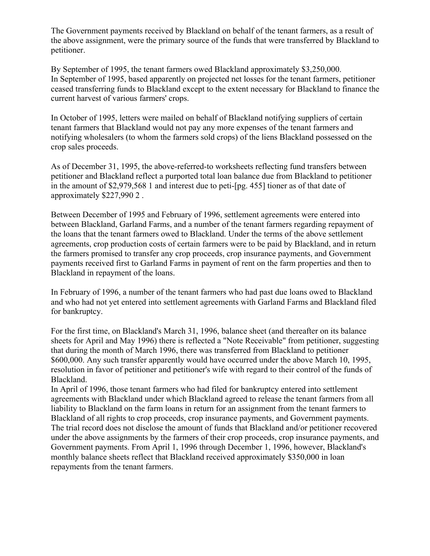The Government payments received by Blackland on behalf of the tenant farmers, as a result of the above assignment, were the primary source of the funds that were transferred by Blackland to petitioner.

By September of 1995, the tenant farmers owed Blackland approximately \$3,250,000. In September of 1995, based apparently on projected net losses for the tenant farmers, petitioner ceased transferring funds to Blackland except to the extent necessary for Blackland to finance the current harvest of various farmers' crops.

In October of 1995, letters were mailed on behalf of Blackland notifying suppliers of certain tenant farmers that Blackland would not pay any more expenses of the tenant farmers and notifying wholesalers (to whom the farmers sold crops) of the liens Blackland possessed on the crop sales proceeds.

As of December 31, 1995, the above-referred-to worksheets reflecting fund transfers between petitioner and Blackland reflect a purported total loan balance due from Blackland to petitioner in the amount of \$2,979,568 1 and interest due to peti-[pg. 455] tioner as of that date of approximately \$227,990 2 .

Between December of 1995 and February of 1996, settlement agreements were entered into between Blackland, Garland Farms, and a number of the tenant farmers regarding repayment of the loans that the tenant farmers owed to Blackland. Under the terms of the above settlement agreements, crop production costs of certain farmers were to be paid by Blackland, and in return the farmers promised to transfer any crop proceeds, crop insurance payments, and Government payments received first to Garland Farms in payment of rent on the farm properties and then to Blackland in repayment of the loans.

In February of 1996, a number of the tenant farmers who had past due loans owed to Blackland and who had not yet entered into settlement agreements with Garland Farms and Blackland filed for bankruptcy.

For the first time, on Blackland's March 31, 1996, balance sheet (and thereafter on its balance sheets for April and May 1996) there is reflected a "Note Receivable" from petitioner, suggesting that during the month of March 1996, there was transferred from Blackland to petitioner \$600,000. Any such transfer apparently would have occurred under the above March 10, 1995, resolution in favor of petitioner and petitioner's wife with regard to their control of the funds of Blackland.

In April of 1996, those tenant farmers who had filed for bankruptcy entered into settlement agreements with Blackland under which Blackland agreed to release the tenant farmers from all liability to Blackland on the farm loans in return for an assignment from the tenant farmers to Blackland of all rights to crop proceeds, crop insurance payments, and Government payments. The trial record does not disclose the amount of funds that Blackland and/or petitioner recovered under the above assignments by the farmers of their crop proceeds, crop insurance payments, and Government payments. From April 1, 1996 through December 1, 1996, however, Blackland's monthly balance sheets reflect that Blackland received approximately \$350,000 in loan repayments from the tenant farmers.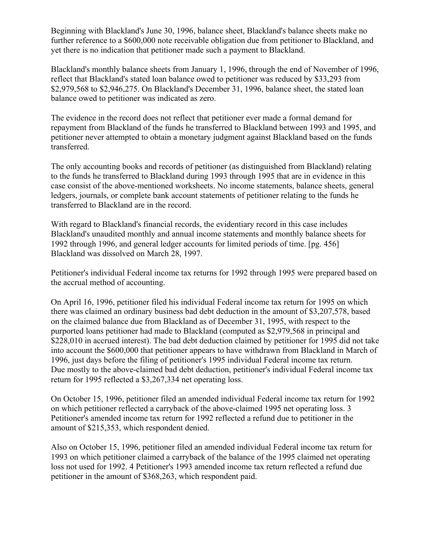Beginning with Blackland's June 30, 1996, balance sheet, Blackland's balance sheets make no further reference to a \$600,000 note receivable obligation due from petitioner to Blackland, and yet there is no indication that petitioner made such a payment to Blackland.

Blackland's monthly balance sheets from January 1, 1996, through the end of November of 1996, reflect that Blackland's stated loan balance owed to petitioner was reduced by \$33,293 from \$2,979,568 to \$2,946,275. On Blackland's December 31, 1996, balance sheet, the stated loan balance owed to petitioner was indicated as zero.

The evidence in the record does not reflect that petitioner ever made a formal demand for repayment from Blackland of the funds he transferred to Blackland between 1993 and 1995, and petitioner never attempted to obtain a monetary judgment against Blackland based on the funds transferred.

The only accounting books and records of petitioner (as distinguished from Blackland) relating to the funds he transferred to Blackland during 1993 through 1995 that are in evidence in this case consist of the above-mentioned worksheets. No income statements, balance sheets, general ledgers, journals, or complete bank account statements of petitioner relating to the funds he transferred to Blackland are in the record.

With regard to Blackland's financial records, the evidentiary record in this case includes Blackland's unaudited monthly and annual income statements and monthly balance sheets for 1992 through 1996, and general ledger accounts for limited periods of time. [pg. 456] Blackland was dissolved on March 28, 1997.

Petitioner's individual Federal income tax returns for 1992 through 1995 were prepared based on the accrual method of accounting.

On April 16, 1996, petitioner filed his individual Federal income tax return for 1995 on which there was claimed an ordinary business bad debt deduction in the amount of \$3,207,578, based on the claimed balance due from Blackland as of December 31, 1995, with respect to the purported loans petitioner had made to Blackland (computed as \$2,979,568 in principal and \$228,010 in accrued interest). The bad debt deduction claimed by petitioner for 1995 did not take into account the \$600,000 that petitioner appears to have withdrawn from Blackland in March of 1996, just days before the filing of petitioner's 1995 individual Federal income tax return. Due mostly to the above-claimed bad debt deduction, petitioner's individual Federal income tax return for 1995 reflected a \$3,267,334 net operating loss.

On October 15, 1996, petitioner filed an amended individual Federal income tax return for 1992 on which petitioner reflected a carryback of the above-claimed 1995 net operating loss. 3 Petitioner's amended income tax return for 1992 reflected a refund due to petitioner in the amount of \$215,353, which respondent denied.

Also on October 15, 1996, petitioner filed an amended individual Federal income tax return for 1993 on which petitioner claimed a carryback of the balance of the 1995 claimed net operating loss not used for 1992. 4 Petitioner's 1993 amended income tax return reflected a refund due petitioner in the amount of \$368,263, which respondent paid.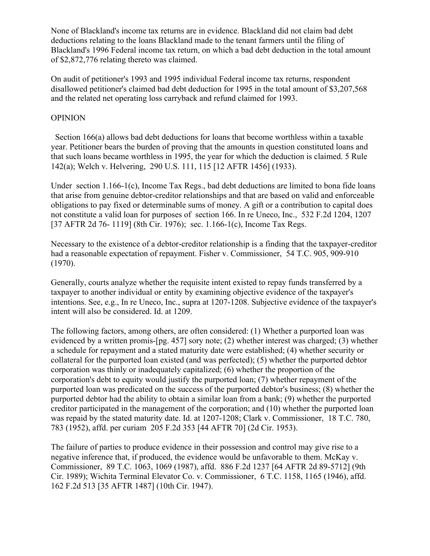None of Blackland's income tax returns are in evidence. Blackland did not claim bad debt deductions relating to the loans Blackland made to the tenant farmers until the filing of Blackland's 1996 Federal income tax return, on which a bad debt deduction in the total amount of \$2,872,776 relating thereto was claimed.

On audit of petitioner's 1993 and 1995 individual Federal income tax returns, respondent disallowed petitioner's claimed bad debt deduction for 1995 in the total amount of \$3,207,568 and the related net operating loss carryback and refund claimed for 1993.

## OPINION

 Section 166(a) allows bad debt deductions for loans that become worthless within a taxable year. Petitioner bears the burden of proving that the amounts in question constituted loans and that such loans became worthless in 1995, the year for which the deduction is claimed. 5 Rule 142(a); Welch v. Helvering, 290 U.S. 111, 115 [12 AFTR 1456] (1933).

Under section 1.166-1(c), Income Tax Regs., bad debt deductions are limited to bona fide loans that arise from genuine debtor-creditor relationships and that are based on valid and enforceable obligations to pay fixed or determinable sums of money. A gift or a contribution to capital does not constitute a valid loan for purposes of section 166. In re Uneco, Inc., 532 F.2d 1204, 1207 [37 AFTR 2d 76- 1119] (8th Cir. 1976); sec. 1.166-1(c), Income Tax Regs.

Necessary to the existence of a debtor-creditor relationship is a finding that the taxpayer-creditor had a reasonable expectation of repayment. Fisher v. Commissioner, 54 T.C. 905, 909-910 (1970).

Generally, courts analyze whether the requisite intent existed to repay funds transferred by a taxpayer to another individual or entity by examining objective evidence of the taxpayer's intentions. See, e.g., In re Uneco, Inc., supra at 1207-1208. Subjective evidence of the taxpayer's intent will also be considered. Id. at 1209.

The following factors, among others, are often considered: (1) Whether a purported loan was evidenced by a written promis-[pg. 457] sory note; (2) whether interest was charged; (3) whether a schedule for repayment and a stated maturity date were established; (4) whether security or collateral for the purported loan existed (and was perfected); (5) whether the purported debtor corporation was thinly or inadequately capitalized; (6) whether the proportion of the corporation's debt to equity would justify the purported loan; (7) whether repayment of the purported loan was predicated on the success of the purported debtor's business; (8) whether the purported debtor had the ability to obtain a similar loan from a bank; (9) whether the purported creditor participated in the management of the corporation; and (10) whether the purported loan was repaid by the stated maturity date. Id. at 1207-1208; Clark v. Commissioner, 18 T.C. 780, 783 (1952), affd. per curiam 205 F.2d 353 [44 AFTR 70] (2d Cir. 1953).

The failure of parties to produce evidence in their possession and control may give rise to a negative inference that, if produced, the evidence would be unfavorable to them. McKay v. Commissioner, 89 T.C. 1063, 1069 (1987), affd. 886 F.2d 1237 [64 AFTR 2d 89-5712] (9th Cir. 1989); Wichita Terminal Elevator Co. v. Commissioner, 6 T.C. 1158, 1165 (1946), affd. 162 F.2d 513 [35 AFTR 1487] (10th Cir. 1947).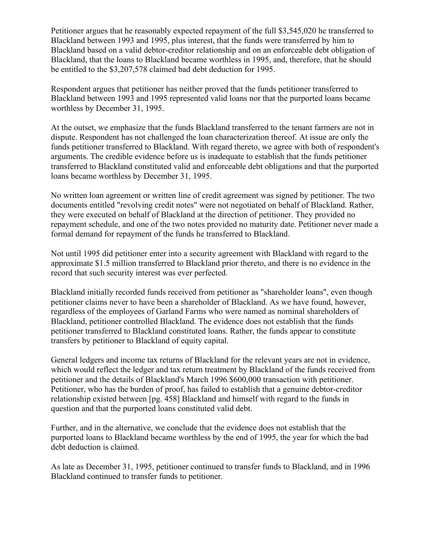Petitioner argues that he reasonably expected repayment of the full \$3,545,020 he transferred to Blackland between 1993 and 1995, plus interest, that the funds were transferred by him to Blackland based on a valid debtor-creditor relationship and on an enforceable debt obligation of Blackland, that the loans to Blackland became worthless in 1995, and, therefore, that he should be entitled to the \$3,207,578 claimed bad debt deduction for 1995.

Respondent argues that petitioner has neither proved that the funds petitioner transferred to Blackland between 1993 and 1995 represented valid loans nor that the purported loans became worthless by December 31, 1995.

At the outset, we emphasize that the funds Blackland transferred to the tenant farmers are not in dispute. Respondent has not challenged the loan characterization thereof. At issue are only the funds petitioner transferred to Blackland. With regard thereto, we agree with both of respondent's arguments. The credible evidence before us is inadequate to establish that the funds petitioner transferred to Blackland constituted valid and enforceable debt obligations and that the purported loans became worthless by December 31, 1995.

No written loan agreement or written line of credit agreement was signed by petitioner. The two documents entitled "revolving credit notes" were not negotiated on behalf of Blackland. Rather, they were executed on behalf of Blackland at the direction of petitioner. They provided no repayment schedule, and one of the two notes provided no maturity date. Petitioner never made a formal demand for repayment of the funds he transferred to Blackland.

Not until 1995 did petitioner enter into a security agreement with Blackland with regard to the approximate \$1.5 million transferred to Blackland prior thereto, and there is no evidence in the record that such security interest was ever perfected.

Blackland initially recorded funds received from petitioner as "shareholder loans", even though petitioner claims never to have been a shareholder of Blackland. As we have found, however, regardless of the employees of Garland Farms who were named as nominal shareholders of Blackland, petitioner controlled Blackland. The evidence does not establish that the funds petitioner transferred to Blackland constituted loans. Rather, the funds appear to constitute transfers by petitioner to Blackland of equity capital.

General ledgers and income tax returns of Blackland for the relevant years are not in evidence, which would reflect the ledger and tax return treatment by Blackland of the funds received from petitioner and the details of Blackland's March 1996 \$600,000 transaction with petitioner. Petitioner, who has the burden of proof, has failed to establish that a genuine debtor-creditor relationship existed between [pg. 458] Blackland and himself with regard to the funds in question and that the purported loans constituted valid debt.

Further, and in the alternative, we conclude that the evidence does not establish that the purported loans to Blackland became worthless by the end of 1995, the year for which the bad debt deduction is claimed.

As late as December 31, 1995, petitioner continued to transfer funds to Blackland, and in 1996 Blackland continued to transfer funds to petitioner.